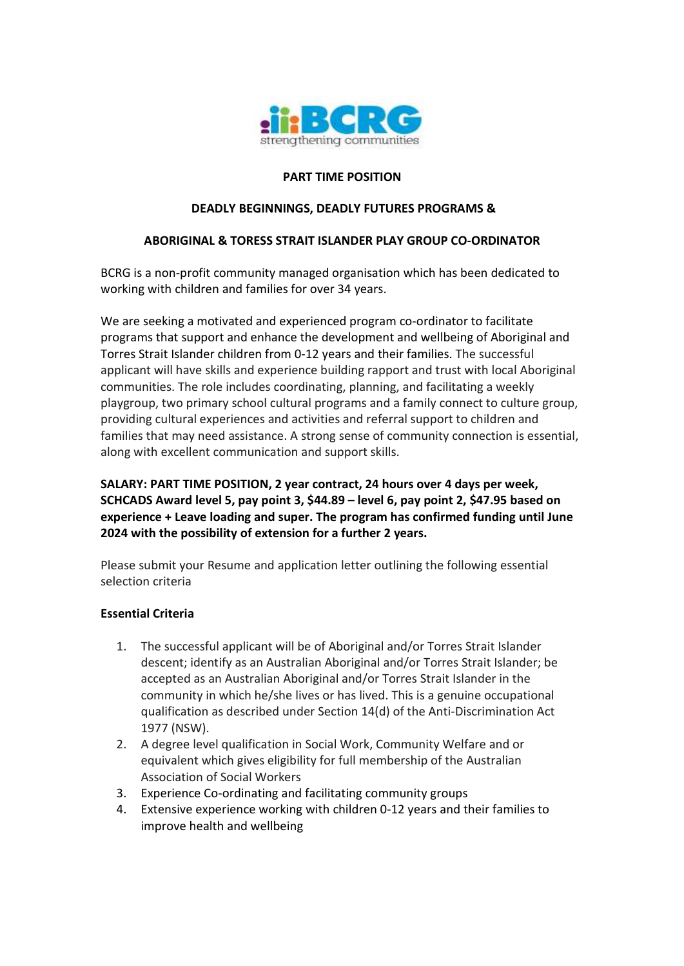

## **PART TIME POSITION**

### **DEADLY BEGINNINGS, DEADLY FUTURES PROGRAMS &**

#### **ABORIGINAL & TORESS STRAIT ISLANDER PLAY GROUP CO-ORDINATOR**

BCRG is a non-profit community managed organisation which has been dedicated to working with children and families for over 34 years.

We are seeking a motivated and experienced program co-ordinator to facilitate programs that support and enhance the development and wellbeing of Aboriginal and Torres Strait Islander children from 0-12 years and their families. The successful applicant will have skills and experience building rapport and trust with local Aboriginal communities. The role includes coordinating, planning, and facilitating a weekly playgroup, two primary school cultural programs and a family connect to culture group, providing cultural experiences and activities and referral support to children and families that may need assistance. A strong sense of community connection is essential, along with excellent communication and support skills.

**SALARY: PART TIME POSITION, 2 year contract, 24 hours over 4 days per week, SCHCADS Award level 5, pay point 3, \$44.89 – level 6, pay point 2, \$47.95 based on experience + Leave loading and super. The program has confirmed funding until June 2024 with the possibility of extension for a further 2 years.** 

Please submit your Resume and application letter outlining the following essential selection criteria

#### **Essential Criteria**

- 1. The successful applicant will be of Aboriginal and/or Torres Strait Islander descent; identify as an Australian Aboriginal and/or Torres Strait Islander; be accepted as an Australian Aboriginal and/or Torres Strait Islander in the community in which he/she lives or has lived. This is a genuine occupational qualification as described under Section 14(d) of the Anti-Discrimination Act 1977 (NSW).
- 2. A degree level qualification in Social Work, Community Welfare and or equivalent which gives eligibility for full membership of the Australian Association of Social Workers
- 3. Experience Co-ordinating and facilitating community groups
- 4. Extensive experience working with children 0-12 years and their families to improve health and wellbeing